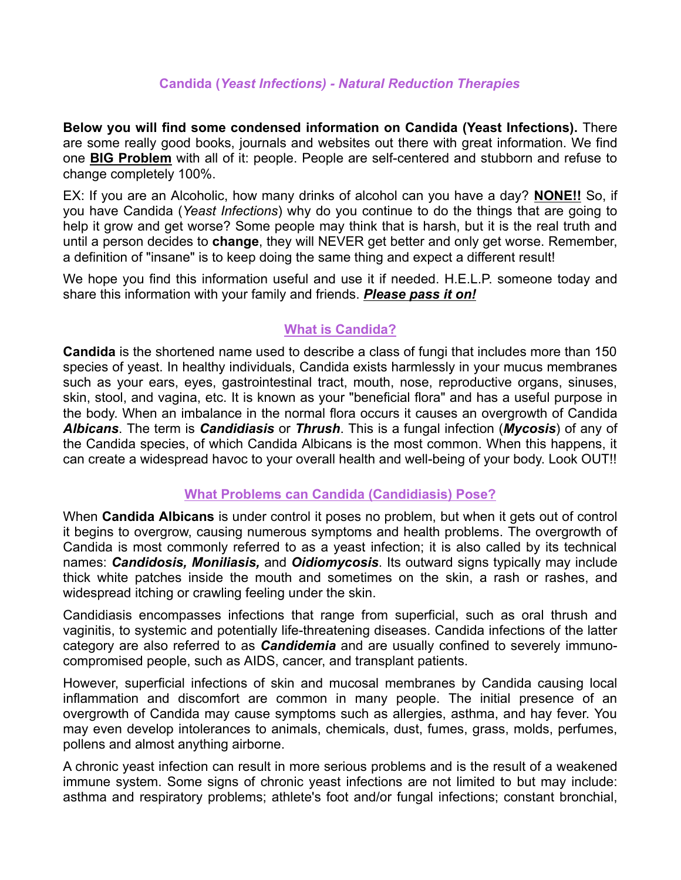#### **Candida (***Yeast Infections) - Natural Reduction Therapies*

**Below you will find some condensed information on Candida (Yeast Infections).** There are some really good books, journals and websites out there with great information. We find one **BIG Problem** with all of it: people. People are self-centered and stubborn and refuse to change completely 100%.

EX: If you are an Alcoholic, how many drinks of alcohol can you have a day? **NONE!!** So, if you have Candida (*Yeast Infections*) why do you continue to do the things that are going to help it grow and get worse? Some people may think that is harsh, but it is the real truth and until a person decides to **change**, they will NEVER get better and only get worse. Remember, a definition of "insane" is to keep doing the same thing and expect a different result!

We hope you find this information useful and use it if needed. H.E.L.P. someone today and share this information with your family and friends. *Please pass it on!*

## **What is Candida?**

**Candida** is the shortened name used to describe a class of fungi that includes more than 150 species of yeast. In healthy individuals, Candida exists harmlessly in your mucus membranes such as your ears, eyes, gastrointestinal tract, mouth, nose, reproductive organs, sinuses, skin, stool, and vagina, etc. It is known as your "beneficial flora" and has a useful purpose in the body. When an imbalance in the normal flora occurs it causes an overgrowth of Candida *Albicans*. The term is *Candidiasis* or *Thrush*. This is a fungal infection (*Mycosis*) of any of the Candida species, of which Candida Albicans is the most common. When this happens, it can create a widespread havoc to your overall health and well-being of your body. Look OUT!!

#### **What Problems can Candida (Candidiasis) Pose?**

When **Candida Albicans** is under control it poses no problem, but when it gets out of control it begins to overgrow, causing numerous symptoms and health problems. The overgrowth of Candida is most commonly referred to as a yeast infection; it is also called by its technical names: *Candidosis, Moniliasis,* and *Oidiomycosis*. Its outward signs typically may include thick white patches inside the mouth and sometimes on the skin, a rash or rashes, and widespread itching or crawling feeling under the skin.

Candidiasis encompasses infections that range from superficial, such as oral thrush and vaginitis, to systemic and potentially life-threatening diseases. Candida infections of the latter category are also referred to as *Candidemia* and are usually confined to severely immunocompromised people, such as AIDS, cancer, and transplant patients.

However, superficial infections of skin and mucosal membranes by Candida causing local inflammation and discomfort are common in many people. The initial presence of an overgrowth of Candida may cause symptoms such as allergies, asthma, and hay fever. You may even develop intolerances to animals, chemicals, dust, fumes, grass, molds, perfumes, pollens and almost anything airborne.

A chronic yeast infection can result in more serious problems and is the result of a weakened immune system. Some signs of chronic yeast infections are not limited to but may include: asthma and respiratory problems; athlete's foot and/or fungal infections; constant bronchial,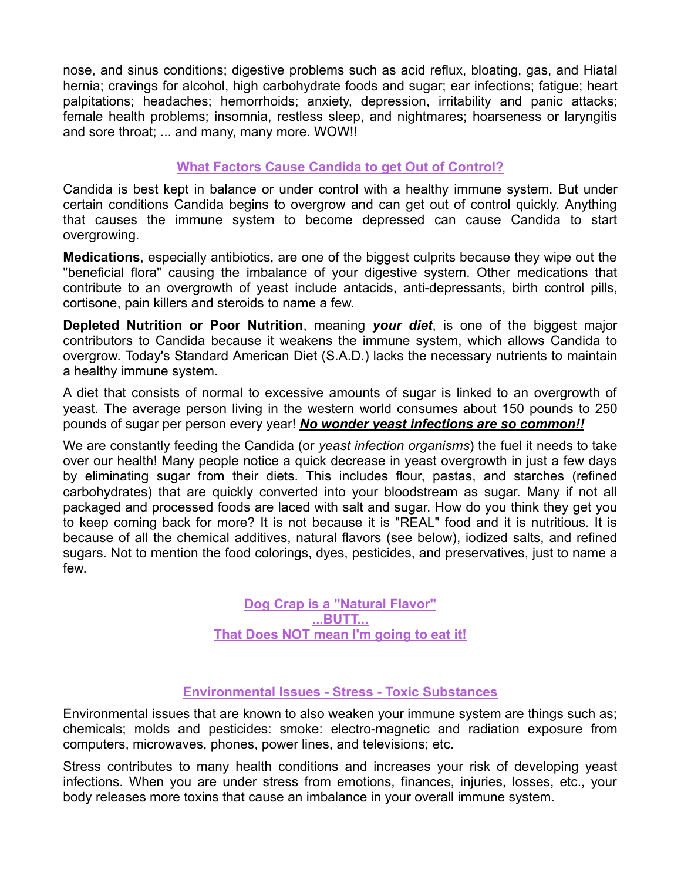nose, and sinus conditions; digestive problems such as acid reflux, bloating, gas, and Hiatal hernia; cravings for alcohol, high carbohydrate foods and sugar; ear infections; fatigue; heart palpitations; headaches; hemorrhoids; anxiety, depression, irritability and panic attacks; female health problems; insomnia, restless sleep, and nightmares; hoarseness or laryngitis and sore throat; ... and many, many more. WOW!!

## **What Factors Cause Candida to get Out of Control?**

Candida is best kept in balance or under control with a healthy immune system. But under certain conditions Candida begins to overgrow and can get out of control quickly. Anything that causes the immune system to become depressed can cause Candida to start overgrowing.

**Medications**, especially antibiotics, are one of the biggest culprits because they wipe out the "beneficial flora" causing the imbalance of your digestive system. Other medications that contribute to an overgrowth of yeast include antacids, anti-depressants, birth control pills, cortisone, pain killers and steroids to name a few.

**Depleted Nutrition or Poor Nutrition**, meaning *your diet*, is one of the biggest major contributors to Candida because it weakens the immune system, which allows Candida to overgrow. Today's Standard American Diet (S.A.D.) lacks the necessary nutrients to maintain a healthy immune system.

A diet that consists of normal to excessive amounts of sugar is linked to an overgrowth of yeast. The average person living in the western world consumes about 150 pounds to 250 pounds of sugar per person every year! *No wonder yeast infections are so common!!*

We are constantly feeding the Candida (or *yeast infection organisms*) the fuel it needs to take over our health! Many people notice a quick decrease in yeast overgrowth in just a few days by eliminating sugar from their diets. This includes flour, pastas, and starches (refined carbohydrates) that are quickly converted into your bloodstream as sugar. Many if not all packaged and processed foods are laced with salt and sugar. How do you think they get you to keep coming back for more? It is not because it is "REAL" food and it is nutritious. It is because of all the chemical additives, natural flavors (see below), iodized salts, and refined sugars. Not to mention the food colorings, dyes, pesticides, and preservatives, just to name a few.

> **Dog Crap is a "Natural Flavor" ...BUTT... That Does NOT mean I'm going to eat it!**

## **Environmental Issues - Stress - Toxic Substances**

Environmental issues that are known to also weaken your immune system are things such as; chemicals; molds and pesticides: smoke: electro-magnetic and radiation exposure from computers, microwaves, phones, power lines, and televisions; etc.

Stress contributes to many health conditions and increases your risk of developing yeast infections. When you are under stress from emotions, finances, injuries, losses, etc., your body releases more toxins that cause an imbalance in your overall immune system.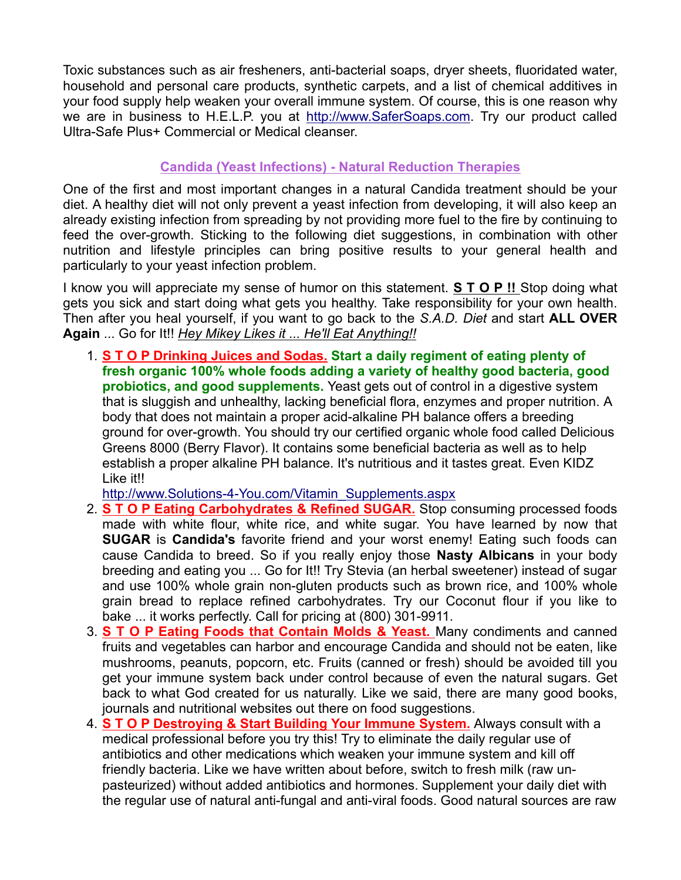Toxic substances such as air fresheners, anti-bacterial soaps, dryer sheets, fluoridated water, household and personal care products, synthetic carpets, and a list of chemical additives in your food supply help weaken your overall immune system. Of course, this is one reason why we are in business to H.E.L.P. you at http://www.SaferSoaps.com. Try our product called Ultra-Safe Plus+ Commercial or Medical cleanser.

# **Candida (Yeast Infections) - Natural Reduction Therapies**

One of the first and most important changes in a natural Candida treatment should be your diet. A healthy diet will not only prevent a yeast infection from developing, it will also keep an already existing infection from spreading by not providing more fuel to the fire by continuing to feed the over-growth. Sticking to the following diet suggestions, in combination with other nutrition and lifestyle principles can bring positive results to your general health and particularly to your yeast infection problem.

I know you will appreciate my sense of humor on this statement. **S T O P !!** Stop doing what gets you sick and start doing what gets you healthy. Take responsibility for your own health. Then after you heal yourself, if you want to go back to the *S.A.D. Diet* and start **ALL OVER Again** ... Go for It!! *Hey Mikey Likes it ... He'll Eat Anything!!*

1. **S T O P Drinking Juices and Sodas. Start a daily regiment of eating plenty of fresh organic 100% whole foods adding a variety of healthy good bacteria, good probiotics, and good supplements.** Yeast gets out of control in a digestive system that is sluggish and unhealthy, lacking beneficial flora, enzymes and proper nutrition. A body that does not maintain a proper acid-alkaline PH balance offers a breeding ground for over-growth. You should try our certified organic whole food called Delicious Greens 8000 (Berry Flavor). It contains some beneficial bacteria as well as to help establish a proper alkaline PH balance. It's nutritious and it tastes great. Even KIDZ Like it!!

http://www.Solutions-4-You.com/Vitamin\_Supplements.aspx

- 2. **S T O P Eating Carbohydrates & Refined SUGAR.** Stop consuming processed foods made with white flour, white rice, and white sugar. You have learned by now that **SUGAR** is **Candida's** favorite friend and your worst enemy! Eating such foods can cause Candida to breed. So if you really enjoy those **Nasty Albicans** in your body breeding and eating you ... Go for It!! Try Stevia (an herbal sweetener) instead of sugar and use 100% whole grain non-gluten products such as brown rice, and 100% whole grain bread to replace refined carbohydrates. Try our Coconut flour if you like to bake ... it works perfectly. Call for pricing at (800) 301-9911.
- 3. **S T O P Eating Foods that Contain Molds & Yeast.** Many condiments and canned fruits and vegetables can harbor and encourage Candida and should not be eaten, like mushrooms, peanuts, popcorn, etc. Fruits (canned or fresh) should be avoided till you get your immune system back under control because of even the natural sugars. Get back to what God created for us naturally. Like we said, there are many good books, journals and nutritional websites out there on food suggestions.
- 4. **S T O P Destroying & Start Building Your Immune System.** Always consult with a medical professional before you try this! Try to eliminate the daily regular use of antibiotics and other medications which weaken your immune system and kill off friendly bacteria. Like we have written about before, switch to fresh milk (raw unpasteurized) without added antibiotics and hormones. Supplement your daily diet with the regular use of natural anti-fungal and anti-viral foods. Good natural sources are raw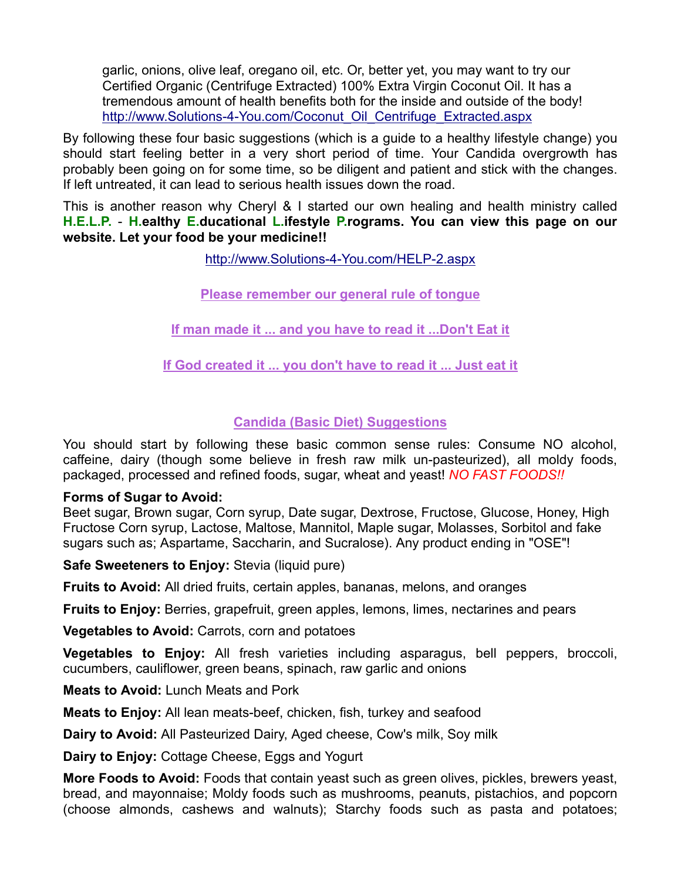garlic, onions, olive leaf, oregano oil, etc. Or, better yet, you may want to try our Certified Organic (Centrifuge Extracted) 100% Extra Virgin Coconut Oil. It has a tremendous amount of health benefits both for the inside and outside of the body! http://www.Solutions-4-You.com/Coconut\_Oil\_Centrifuge\_Extracted.aspx

By following these four basic suggestions (which is a guide to a healthy lifestyle change) you should start feeling better in a very short period of time. Your Candida overgrowth has probably been going on for some time, so be diligent and patient and stick with the changes. If left untreated, it can lead to serious health issues down the road.

This is another reason why Cheryl & I started our own healing and health ministry called **H.E.L.P.** - **H.ealthy E.ducational L.ifestyle P.rograms. You can view this page on our website. Let your food be your medicine!!**

http://www.Solutions-4-You.com/HELP-2.aspx

**Please remember our general rule of tongue**

**If man made it ... and you have to read it ...Don't Eat it**

**If God created it ... you don't have to read it ... Just eat it**

## **Candida (Basic Diet) Suggestions**

You should start by following these basic common sense rules: Consume NO alcohol, caffeine, dairy (though some believe in fresh raw milk un-pasteurized), all moldy foods, packaged, processed and refined foods, sugar, wheat and yeast! *NO FAST FOODS!!*

#### **Forms of Sugar to Avoid:**

Beet sugar, Brown sugar, Corn syrup, Date sugar, Dextrose, Fructose, Glucose, Honey, High Fructose Corn syrup, Lactose, Maltose, Mannitol, Maple sugar, Molasses, Sorbitol and fake sugars such as; Aspartame, Saccharin, and Sucralose). Any product ending in "OSE"!

**Safe Sweeteners to Enjoy:** Stevia (liquid pure)

**Fruits to Avoid:** All dried fruits, certain apples, bananas, melons, and oranges

**Fruits to Enjoy:** Berries, grapefruit, green apples, lemons, limes, nectarines and pears

**Vegetables to Avoid:** Carrots, corn and potatoes

**Vegetables to Enjoy:** All fresh varieties including asparagus, bell peppers, broccoli, cucumbers, cauliflower, green beans, spinach, raw garlic and onions

**Meats to Avoid:** Lunch Meats and Pork

**Meats to Enjoy:** All lean meats-beef, chicken, fish, turkey and seafood

**Dairy to Avoid:** All Pasteurized Dairy, Aged cheese, Cow's milk, Soy milk

**Dairy to Enjoy:** Cottage Cheese, Eggs and Yogurt

**More Foods to Avoid:** Foods that contain yeast such as green olives, pickles, brewers yeast, bread, and mayonnaise; Moldy foods such as mushrooms, peanuts, pistachios, and popcorn (choose almonds, cashews and walnuts); Starchy foods such as pasta and potatoes;